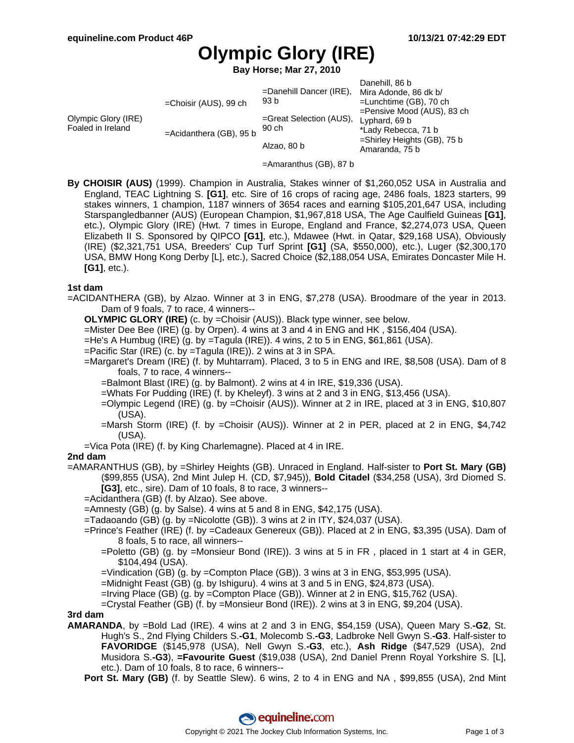# **Olympic Glory (IRE)**

**Bay Horse; Mar 27, 2010**

|                                          |                         |                                               | Danehill, 86 b                 |
|------------------------------------------|-------------------------|-----------------------------------------------|--------------------------------|
|                                          |                         | =Danehill Dancer (IRE), Mira Adonde, 86 dk b/ |                                |
| Olympic Glory (IRE)<br>Foaled in Ireland | =Choisir (AUS), 99 ch   | 93 b                                          | $=$ Lunchtime (GB), 70 ch      |
|                                          |                         |                                               | =Pensive Mood (AUS), 83 ch     |
|                                          | =Acidanthera (GB), 95 b | =Great Selection (AUS),<br>90 ch              | Lyphard, 69 b                  |
|                                          |                         |                                               | *Lady Rebecca, 71 b            |
|                                          |                         | Alzao, 80 b                                   | $=$ Shirley Heights (GB), 75 b |
|                                          |                         |                                               | Amaranda, 75 b                 |

- =Amaranthus (GB), 87 b
- **By CHOISIR (AUS)** (1999). Champion in Australia, Stakes winner of \$1,260,052 USA in Australia and England, TEAC Lightning S. **[G1]**, etc. Sire of 16 crops of racing age, 2486 foals, 1823 starters, 99 stakes winners, 1 champion, 1187 winners of 3654 races and earning \$105,201,647 USA, including Starspangledbanner (AUS) (European Champion, \$1,967,818 USA, The Age Caulfield Guineas **[G1]**, etc.), Olympic Glory (IRE) (Hwt. 7 times in Europe, England and France, \$2,274,073 USA, Queen Elizabeth II S. Sponsored by QIPCO **[G1]**, etc.), Mdawee (Hwt. in Qatar, \$29,168 USA), Obviously (IRE) (\$2,321,751 USA, Breeders' Cup Turf Sprint **[G1]** (SA, \$550,000), etc.), Luger (\$2,300,170 USA, BMW Hong Kong Derby [L], etc.), Sacred Choice (\$2,188,054 USA, Emirates Doncaster Mile H. **[G1]**, etc.).

#### **1st dam**

=ACIDANTHERA (GB), by Alzao. Winner at 3 in ENG, \$7,278 (USA). Broodmare of the year in 2013. Dam of 9 foals, 7 to race, 4 winners--

**OLYMPIC GLORY (IRE)** (c. by =Choisir (AUS)). Black type winner, see below.

=Mister Dee Bee (IRE) (g. by Orpen). 4 wins at 3 and 4 in ENG and HK , \$156,404 (USA).

 $=$ He's A Humbug (IRE) (g. by  $=$ Tagula (IRE)). 4 wins, 2 to 5 in ENG, \$61,861 (USA).

- =Pacific Star (IRE) (c. by =Tagula (IRE)). 2 wins at 3 in SPA.
- =Margaret's Dream (IRE) (f. by Muhtarram). Placed, 3 to 5 in ENG and IRE, \$8,508 (USA). Dam of 8 foals, 7 to race, 4 winners--

=Balmont Blast (IRE) (g. by Balmont). 2 wins at 4 in IRE, \$19,336 (USA).

=Whats For Pudding (IRE) (f. by Kheleyf). 3 wins at 2 and 3 in ENG, \$13,456 (USA).

- =Olympic Legend (IRE) (g. by =Choisir (AUS)). Winner at 2 in IRE, placed at 3 in ENG, \$10,807 (USA).
- =Marsh Storm (IRE) (f. by =Choisir (AUS)). Winner at 2 in PER, placed at 2 in ENG, \$4,742 (USA).
- =Vica Pota (IRE) (f. by King Charlemagne). Placed at 4 in IRE.

#### **2nd dam**

=AMARANTHUS (GB), by =Shirley Heights (GB). Unraced in England. Half-sister to **Port St. Mary (GB)** (\$99,855 (USA), 2nd Mint Julep H. (CD, \$7,945)), **Bold Citadel** (\$34,258 (USA), 3rd Diomed S. **[G3]**, etc., sire). Dam of 10 foals, 8 to race, 3 winners--

=Acidanthera (GB) (f. by Alzao). See above.

 $=$ Amnesty (GB) (g. by Salse). 4 wins at 5 and 8 in ENG, \$42,175 (USA).

=Tadaoando (GB) (g. by =Nicolotte (GB)). 3 wins at 2 in ITY, \$24,037 (USA).

=Prince's Feather (IRE) (f. by =Cadeaux Genereux (GB)). Placed at 2 in ENG, \$3,395 (USA). Dam of 8 foals, 5 to race, all winners--

=Poletto (GB) (g. by =Monsieur Bond (IRE)). 3 wins at 5 in FR , placed in 1 start at 4 in GER, \$104,494 (USA).

=Vindication (GB) (g. by =Compton Place (GB)). 3 wins at 3 in ENG, \$53,995 (USA).

=Midnight Feast (GB) (g. by Ishiguru). 4 wins at 3 and 5 in ENG, \$24,873 (USA).

=Irving Place (GB) (g. by =Compton Place (GB)). Winner at 2 in ENG, \$15,762 (USA).

=Crystal Feather (GB) (f. by =Monsieur Bond (IRE)). 2 wins at 3 in ENG, \$9,204 (USA).

**3rd dam**

**AMARANDA**, by =Bold Lad (IRE). 4 wins at 2 and 3 in ENG, \$54,159 (USA), Queen Mary S.**-G2**, St. Hugh's S., 2nd Flying Childers S.**-G1**, Molecomb S.**-G3**, Ladbroke Nell Gwyn S.**-G3**. Half-sister to **FAVORIDGE** (\$145,978 (USA), Nell Gwyn S.**-G3**, etc.), **Ash Ridge** (\$47,529 (USA), 2nd Musidora S.**-G3**), **=Favourite Guest** (\$19,038 (USA), 2nd Daniel Prenn Royal Yorkshire S. [L], etc.). Dam of 10 foals, 8 to race, 6 winners--

**Port St. Mary (GB)** (f. by Seattle Slew). 6 wins, 2 to 4 in ENG and NA, \$99,855 (USA), 2nd Mint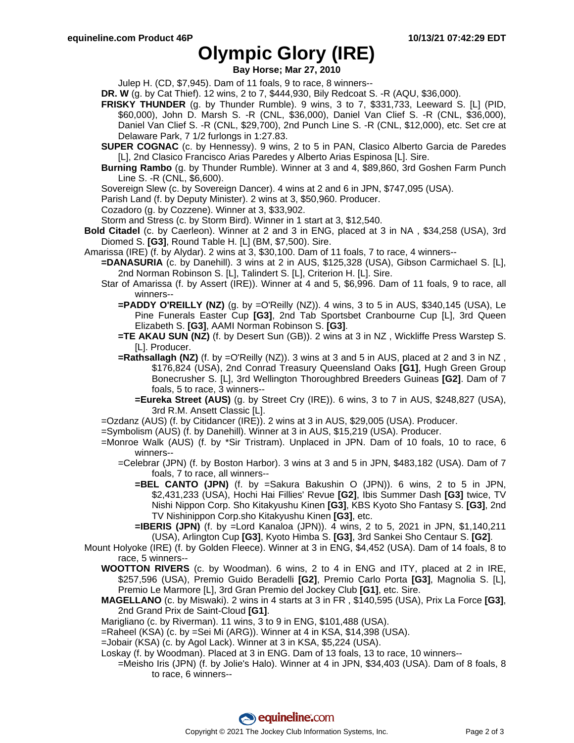## **Olympic Glory (IRE)**

**Bay Horse; Mar 27, 2010**

Julep H. (CD, \$7,945). Dam of 11 foals, 9 to race, 8 winners--

- **DR. W** (g. by Cat Thief). 12 wins, 2 to 7, \$444,930, Bily Redcoat S. -R (AQU, \$36,000).
- **FRISKY THUNDER** (g. by Thunder Rumble). 9 wins, 3 to 7, \$331,733, Leeward S. [L] (PID, \$60,000), John D. Marsh S. -R (CNL, \$36,000), Daniel Van Clief S. -R (CNL, \$36,000), Daniel Van Clief S. -R (CNL, \$29,700), 2nd Punch Line S. -R (CNL, \$12,000), etc. Set cre at Delaware Park, 7 1/2 furlongs in 1:27.83.
- **SUPER COGNAC** (c. by Hennessy). 9 wins, 2 to 5 in PAN, Clasico Alberto Garcia de Paredes [L], 2nd Clasico Francisco Arias Paredes y Alberto Arias Espinosa [L]. Sire.
- **Burning Rambo** (g. by Thunder Rumble). Winner at 3 and 4, \$89,860, 3rd Goshen Farm Punch Line S. -R (CNL, \$6,600).
- Sovereign Slew (c. by Sovereign Dancer). 4 wins at 2 and 6 in JPN, \$747,095 (USA).

Parish Land (f. by Deputy Minister). 2 wins at 3, \$50,960. Producer.

Cozadoro (g. by Cozzene). Winner at 3, \$33,902.

Storm and Stress (c. by Storm Bird). Winner in 1 start at 3, \$12,540.

- **Bold Citadel** (c. by Caerleon). Winner at 2 and 3 in ENG, placed at 3 in NA , \$34,258 (USA), 3rd Diomed S. **[G3]**, Round Table H. [L] (BM, \$7,500). Sire.
- Amarissa (IRE) (f. by Alydar). 2 wins at 3, \$30,100. Dam of 11 foals, 7 to race, 4 winners--
	- **=DANASURIA** (c. by Danehill). 3 wins at 2 in AUS, \$125,328 (USA), Gibson Carmichael S. [L], 2nd Norman Robinson S. [L], Talindert S. [L], Criterion H. [L]. Sire.
	- Star of Amarissa (f. by Assert (IRE)). Winner at 4 and 5, \$6,996. Dam of 11 foals, 9 to race, all winners--
		- **=PADDY O'REILLY (NZ)** (g. by =O'Reilly (NZ)). 4 wins, 3 to 5 in AUS, \$340,145 (USA), Le Pine Funerals Easter Cup **[G3]**, 2nd Tab Sportsbet Cranbourne Cup [L], 3rd Queen Elizabeth S. **[G3]**, AAMI Norman Robinson S. **[G3]**.
		- **=TE AKAU SUN (NZ)** (f. by Desert Sun (GB)). 2 wins at 3 in NZ , Wickliffe Press Warstep S. [L]. Producer.
		- **=Rathsallagh (NZ)** (f. by =O'Reilly (NZ)). 3 wins at 3 and 5 in AUS, placed at 2 and 3 in NZ, \$176,824 (USA), 2nd Conrad Treasury Queensland Oaks **[G1]**, Hugh Green Group Bonecrusher S. [L], 3rd Wellington Thoroughbred Breeders Guineas **[G2]**. Dam of 7 foals, 5 to race, 3 winners--
			- **=Eureka Street (AUS)** (g. by Street Cry (IRE)). 6 wins, 3 to 7 in AUS, \$248,827 (USA), 3rd R.M. Ansett Classic [L].
	- =Ozdanz (AUS) (f. by Citidancer (IRE)). 2 wins at 3 in AUS, \$29,005 (USA). Producer.
	- =Symbolism (AUS) (f. by Danehill). Winner at 3 in AUS, \$15,219 (USA). Producer.
	- =Monroe Walk (AUS) (f. by \*Sir Tristram). Unplaced in JPN. Dam of 10 foals, 10 to race, 6 winners--
		- =Celebrar (JPN) (f. by Boston Harbor). 3 wins at 3 and 5 in JPN, \$483,182 (USA). Dam of 7 foals, 7 to race, all winners--
			- **=BEL CANTO (JPN)** (f. by =Sakura Bakushin O (JPN)). 6 wins, 2 to 5 in JPN, \$2,431,233 (USA), Hochi Hai Fillies' Revue **[G2]**, Ibis Summer Dash **[G3]** twice, TV Nishi Nippon Corp. Sho Kitakyushu Kinen **[G3]**, KBS Kyoto Sho Fantasy S. **[G3]**, 2nd TV Nishinippon Corp.sho Kitakyushu Kinen **[G3]**, etc.
			- **=IBERIS (JPN)** (f. by =Lord Kanaloa (JPN)). 4 wins, 2 to 5, 2021 in JPN, \$1,140,211 (USA), Arlington Cup **[G3]**, Kyoto Himba S. **[G3]**, 3rd Sankei Sho Centaur S. **[G2]**.
- Mount Holyoke (IRE) (f. by Golden Fleece). Winner at 3 in ENG, \$4,452 (USA). Dam of 14 foals, 8 to race, 5 winners--
	- **WOOTTON RIVERS** (c. by Woodman). 6 wins, 2 to 4 in ENG and ITY, placed at 2 in IRE, \$257,596 (USA), Premio Guido Beradelli **[G2]**, Premio Carlo Porta **[G3]**, Magnolia S. [L], Premio Le Marmore [L], 3rd Gran Premio del Jockey Club **[G1]**, etc. Sire.
	- **MAGELLANO** (c. by Miswaki). 2 wins in 4 starts at 3 in FR , \$140,595 (USA), Prix La Force **[G3]**, 2nd Grand Prix de Saint-Cloud **[G1]**.

Marigliano (c. by Riverman). 11 wins, 3 to 9 in ENG, \$101,488 (USA).

=Raheel (KSA) (c. by =Sei Mi (ARG)). Winner at 4 in KSA, \$14,398 (USA).

- =Jobair (KSA) (c. by Agol Lack). Winner at 3 in KSA, \$5,224 (USA).
- Loskay (f. by Woodman). Placed at 3 in ENG. Dam of 13 foals, 13 to race, 10 winners--
	- =Meisho Iris (JPN) (f. by Jolie's Halo). Winner at 4 in JPN, \$34,403 (USA). Dam of 8 foals, 8 to race, 6 winners--